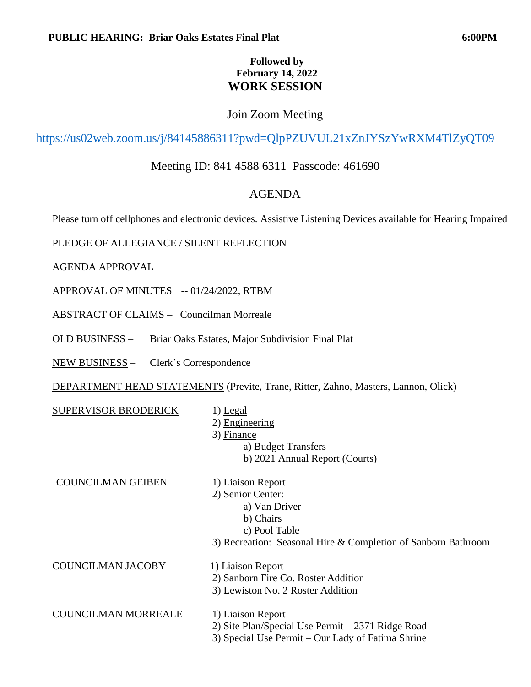# **Followed by February 14, 2022 WORK SESSION**

# Join Zoom Meeting

<https://us02web.zoom.us/j/84145886311?pwd=QlpPZUVUL21xZnJYSzYwRXM4TlZyQT09>

# Meeting ID: 841 4588 6311 Passcode: 461690

## AGENDA

Please turn off cellphones and electronic devices. Assistive Listening Devices available for Hearing Impaired

PLEDGE OF ALLEGIANCE / SILENT REFLECTION

AGENDA APPROVAL

APPROVAL OF MINUTES -- 01/24/2022, RTBM

ABSTRACT OF CLAIMS – Councilman Morreale

OLD BUSINESS – Briar Oaks Estates, Major Subdivision Final Plat

NEW BUSINESS – Clerk's Correspondence

DEPARTMENT HEAD STATEMENTS (Previte, Trane, Ritter, Zahno, Masters, Lannon, Olick)

| <b>SUPERVISOR BRODERICK</b> | $1)$ Legal                                                    |
|-----------------------------|---------------------------------------------------------------|
|                             | 2) Engineering                                                |
|                             | 3) Finance                                                    |
|                             | a) Budget Transfers                                           |
|                             | b) 2021 Annual Report (Courts)                                |
| <b>COUNCILMAN GEIBEN</b>    | 1) Liaison Report                                             |
|                             | 2) Senior Center:                                             |
|                             | a) Van Driver                                                 |
|                             | b) Chairs                                                     |
|                             | c) Pool Table                                                 |
|                             | 3) Recreation: Seasonal Hire & Completion of Sanborn Bathroom |
| COUNCILMAN JACOBY           | 1) Liaison Report                                             |
|                             | 2) Sanborn Fire Co. Roster Addition                           |
|                             | 3) Lewiston No. 2 Roster Addition                             |
| COUNCILMAN MORREALE         | 1) Liaison Report                                             |
|                             | $2\sqrt{2}$                                                   |

- 2) Site Plan/Special Use Permit 2371 Ridge Road
- 3) Special Use Permit Our Lady of Fatima Shrine